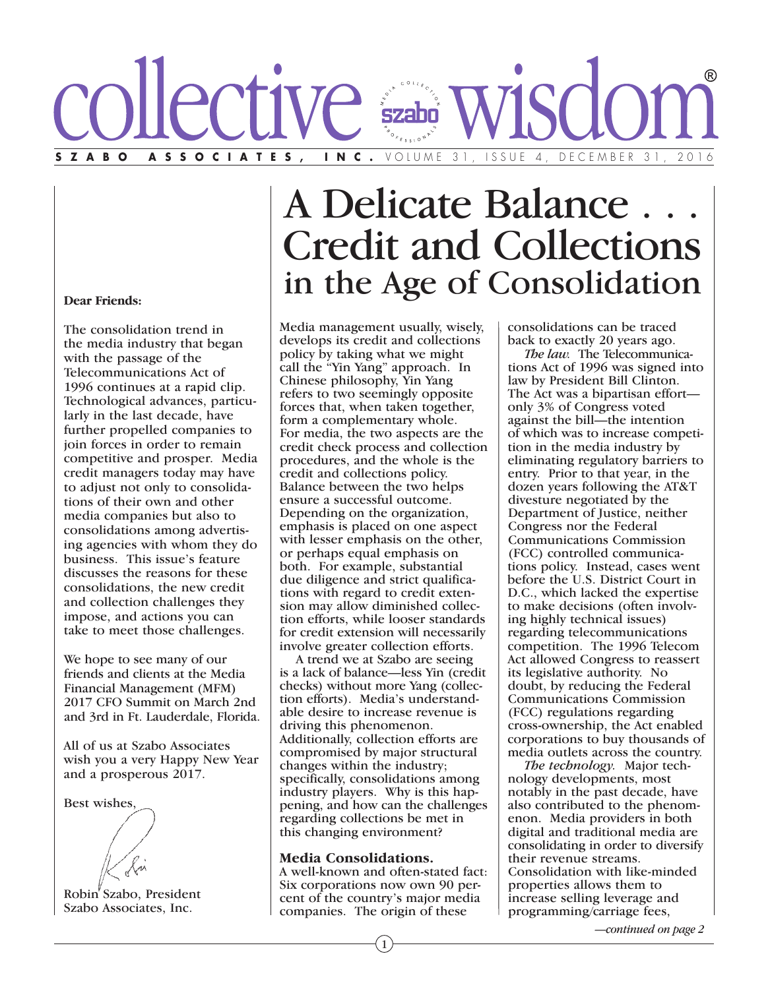# ZABO ASSOCIATES, INC. VOLUME 31, ISSUE 4, DECEMBER 31,

#### **Dear Friends:**

The consolidation trend in the media industry that began with the passage of the Telecommunications Act of 1996 continues at a rapid clip. Technological advances, particularly in the last decade, have further propelled companies to join forces in order to remain competitive and prosper. Media credit managers today may have to adjust not only to consolidations of their own and other media companies but also to consolidations among advertising agencies with whom they do business. This issue's feature discusses the reasons for these consolidations, the new credit and collection challenges they impose, and actions you can take to meet those challenges.

We hope to see many of our friends and clients at the Media Financial Management (MFM) 2017 CFO Summit on March 2nd and 3rd in Ft. Lauderdale, Florida.

All of us at Szabo Associates wish you a very Happy New Year and a prosperous 2017.

Best wishes, Robin Szabo, President

Szabo Associates, Inc.

## A Delicate Balance . . .<br>Credit and Collections in the Age of Consolidation

Media management usually, wisely, develops its credit and collections policy by taking what we might call the "Yin Yang" approach. In Chinese philosophy, Yin Yang refers to two seemingly opposite forces that, when taken together, form a complementary whole. For media, the two aspects are the credit check process and collection procedures, and the whole is the credit and collections policy. Balance between the two helps ensure a successful outcome. Depending on the organization, emphasis is placed on one aspect with lesser emphasis on the other, or perhaps equal emphasis on both. For example, substantial due diligence and strict qualifications with regard to credit extension may allow diminished collection efforts, while looser standards for credit extension will necessarily involve greater collection efforts.

 A trend we at Szabo are seeing is a lack of balance—less Yin (credit checks) without more Yang (collection efforts). Media's understandable desire to increase revenue is driving this phenomenon. Additionally, collection efforts are compromised by major structural changes within the industry; specifically, consolidations among industry players. Why is this happening, and how can the challenges regarding collections be met in this changing environment?

**Media Consolidations.** <sup>A</sup> well-known and often-stated fact: Six corporations now own 90 percent of the country's major media companies. The origin of these

consolidations can be traced back to exactly 20 years ago.

 *The law.* The Telecommunications Act of 1996 was signed into law by President Bill Clinton. The Act was a bipartisan effort only 3% of Congress voted against the bill—the intention of which was to increase competition in the media industry by eliminating regulatory barriers to entry. Prior to that year, in the dozen years following the AT&T divesture negotiated by the Department of Justice, neither Congress nor the Federal Communications Commission (FCC) controlled communications policy. Instead, cases went before the U.S. District Court in D.C., which lacked the expertise to make decisions (often involving highly technical issues) regarding telecommunications competition. The 1996 Telecom Act allowed Congress to reassert its legislative authority. No doubt, by reducing the Federal Communications Commission (FCC) regulations regarding cross-ownership, the Act enabled corporations to buy thousands of media outlets across the country.

 *The technology.* Major technology developments, most notably in the past decade, have also contributed to the phenomenon. Media providers in both digital and traditional media are consolidating in order to diversify their revenue streams. Consolidation with like-minded properties allows them to increase selling leverage and programming/carriage fees,

*—continued on page 2*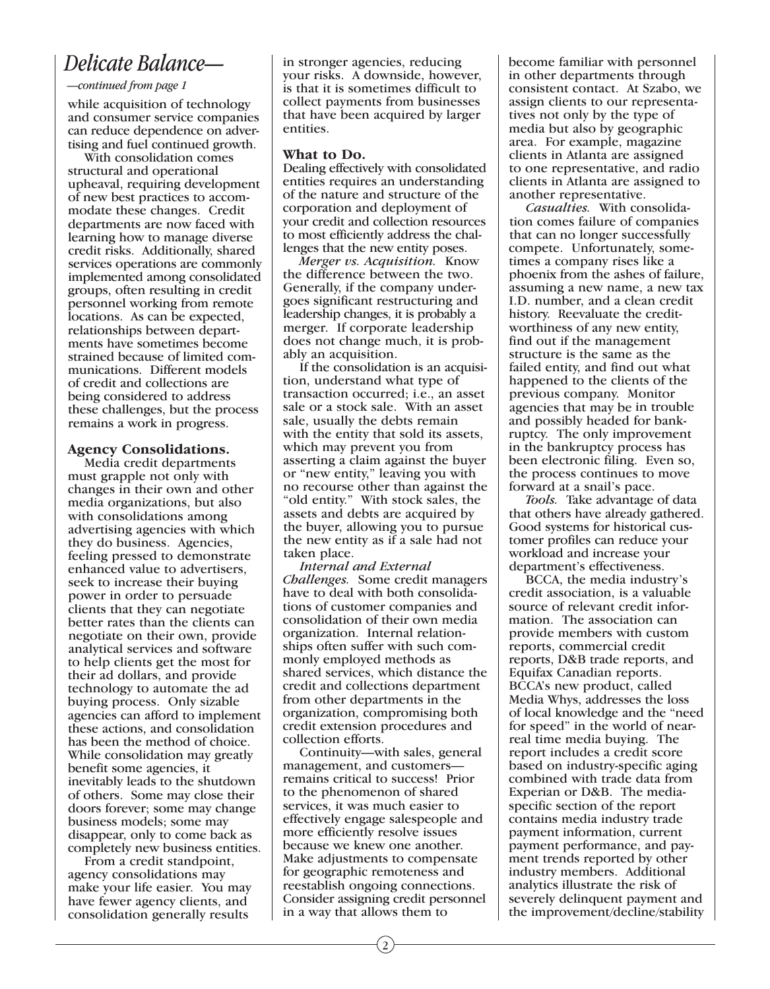### *Delicate Balance—*

#### *—continued from page 1*

while acquisition of technology and consumer service companies can reduce dependence on advertising and fuel continued growth.

 With consolidation comes structural and operational upheaval, requiring development of new best practices to accommodate these changes. Credit departments are now faced with learning how to manage diverse credit risks. Additionally, shared services operations are commonly implemented among consolidated groups, often resulting in credit personnel working from remote locations. As can be expected, relationships between departments have sometimes become strained because of limited communications. Different models of credit and collections are being considered to address these challenges, but the process remains a work in progress.

## **Agency Consolidations.** Media credit departments

must grapple not only with changes in their own and other media organizations, but also with consolidations among advertising agencies with which they do business. Agencies, feeling pressed to demonstrate enhanced value to advertisers, seek to increase their buying power in order to persuade clients that they can negotiate better rates than the clients can negotiate on their own, provide analytical services and software to help clients get the most for their ad dollars, and provide technology to automate the ad buying process. Only sizable agencies can afford to implement these actions, and consolidation has been the method of choice. While consolidation may greatly benefit some agencies, it inevitably leads to the shutdown of others. Some may close their doors forever; some may change business models; some may disappear, only to come back as completely new business entities.

 From a credit standpoint, agency consolidations may make your life easier. You may have fewer agency clients, and consolidation generally results

in stronger agencies, reducing your risks. A downside, however, is that it is sometimes difficult to collect payments from businesses that have been acquired by larger entities.

**What to Do.** Dealing effectively with consolidated entities requires an understanding of the nature and structure of the corporation and deployment of your credit and collection resources to most efficiently address the challenges that the new entity poses.

 *Merger vs. Acquisition.* Know the difference between the two. Generally, if the company undergoes significant restructuring and leadership changes, it is probably a merger. If corporate leadership does not change much, it is probably an acquisition.

 If the consolidation is an acquisition, understand what type of transaction occurred; i.e., an asset sale or a stock sale. With an asset sale, usually the debts remain with the entity that sold its assets, which may prevent you from asserting a claim against the buyer or "new entity," leaving you with no recourse other than against the "old entity." With stock sales, the assets and debts are acquired by the buyer, allowing you to pursue the new entity as if a sale had not taken place.

 *Internal and External Challenges.* Some credit managers have to deal with both consolidations of customer companies and consolidation of their own media organization. Internal relationships often suffer with such commonly employed methods as shared services, which distance the credit and collections department from other departments in the organization, compromising both credit extension procedures and collection efforts.

 Continuity—with sales, general management, and customers remains critical to success! Prior to the phenomenon of shared services, it was much easier to effectively engage salespeople and more efficiently resolve issues because we knew one another. Make adjustments to compensate for geographic remoteness and reestablish ongoing connections. Consider assigning credit personnel in a way that allows them to

become familiar with personnel in other departments through consistent contact. At Szabo, we assign clients to our representatives not only by the type of media but also by geographic area. For example, magazine clients in Atlanta are assigned to one representative, and radio clients in Atlanta are assigned to another representative.

 *Casualties.* With consolidation comes failure of companies that can no longer successfully compete. Unfortunately, sometimes a company rises like a phoenix from the ashes of failure, assuming a new name, a new tax I.D. number, and a clean credit history. Reevaluate the creditworthiness of any new entity, find out if the management structure is the same as the failed entity, and find out what happened to the clients of the previous company. Monitor agencies that may be in trouble and possibly headed for bankruptcy. The only improvement in the bankruptcy process has been electronic filing. Even so, the process continues to move forward at a snail's pace.

 *Tools.* Take advantage of data that others have already gathered. Good systems for historical customer profiles can reduce your workload and increase your department's effectiveness.

 BCCA, the media industry's credit association, is a valuable source of relevant credit information. The association can provide members with custom reports, commercial credit reports, D&B trade reports, and Equifax Canadian reports. BCCA's new product, called Media Whys, addresses the loss of local knowledge and the "need for speed" in the world of nearreal time media buying. The report includes a credit score based on industry-specific aging combined with trade data from Experian or D&B. The mediaspecific section of the report contains media industry trade payment information, current payment performance, and payment trends reported by other industry members. Additional analytics illustrate the risk of severely delinquent payment and the improvement/decline/stability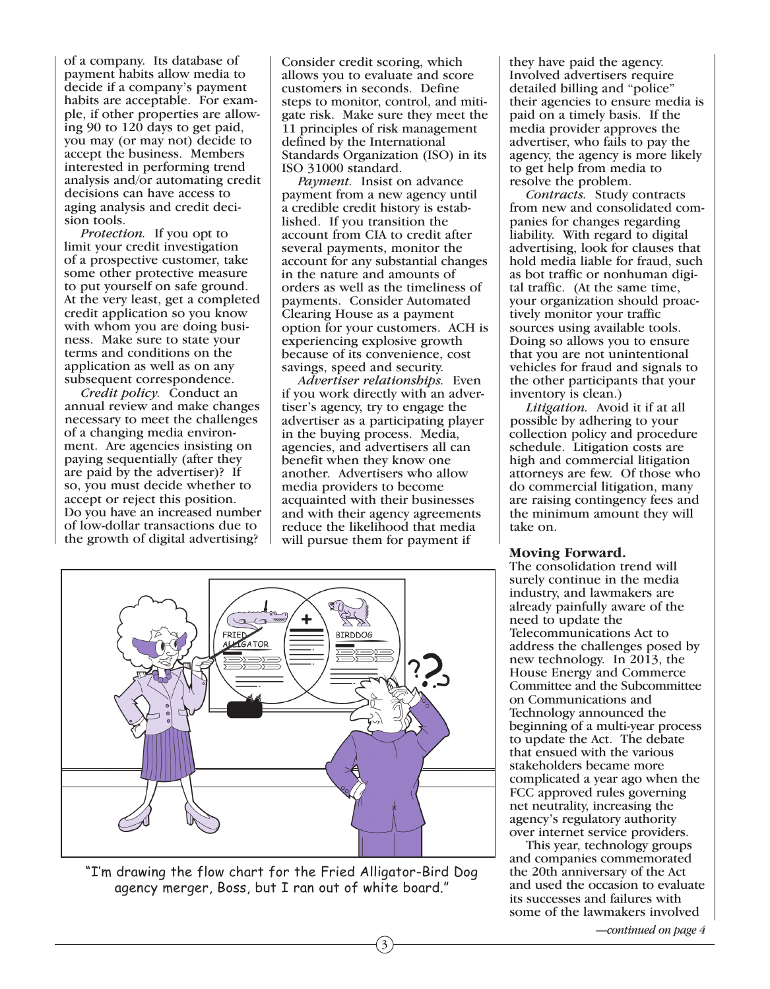of a company. Its database of payment habits allow media to decide if a company's payment habits are acceptable. For example, if other properties are allowing 90 to 120 days to get paid, you may (or may not) decide to accept the business. Members interested in performing trend analysis and/or automating credit decisions can have access to aging analysis and credit decision tools.

 *Protection.* If you opt to limit your credit investigation of a prospective customer, take some other protective measure to put yourself on safe ground. At the very least, get a completed credit application so you know with whom you are doing business. Make sure to state your terms and conditions on the application as well as on any subsequent correspondence.

 *Credit policy.* Conduct an annual review and make changes necessary to meet the challenges of a changing media environment. Are agencies insisting on paying sequentially (after they are paid by the advertiser)? If so, you must decide whether to accept or reject this position. Do you have an increased number of low-dollar transactions due to the growth of digital advertising?

Consider credit scoring, which allows you to evaluate and score customers in seconds. Define steps to monitor, control, and mitigate risk. Make sure they meet the 11 principles of risk management defined by the International Standards Organization (ISO) in its ISO 31000 standard.

 *Payment.* Insist on advance payment from a new agency until a credible credit history is established. If you transition the account from CIA to credit after several payments, monitor the account for any substantial changes in the nature and amounts of orders as well as the timeliness of payments. Consider Automated Clearing House as a payment option for your customers. ACH is experiencing explosive growth because of its convenience, cost savings, speed and security.

 *Advertiser relationships.* Even if you work directly with an advertiser's agency, try to engage the advertiser as a participating player in the buying process. Media, agencies, and advertisers all can benefit when they know one another. Advertisers who allow media providers to become acquainted with their businesses and with their agency agreements reduce the likelihood that media will pursue them for payment if

3



"I'm drawing the flow chart for the Fried Alligator-Bird Dog agency merger, Boss, but I ran out of white board."

they have paid the agency. Involved advertisers require detailed billing and "police" their agencies to ensure media is paid on a timely basis. If the media provider approves the advertiser, who fails to pay the agency, the agency is more likely to get help from media to resolve the problem.

 *Contracts.* Study contracts from new and consolidated companies for changes regarding liability. With regard to digital advertising, look for clauses that hold media liable for fraud, such as bot traffic or nonhuman digital traffic. (At the same time, your organization should proactively monitor your traffic sources using available tools. Doing so allows you to ensure that you are not unintentional vehicles for fraud and signals to the other participants that your inventory is clean.)

 *Litigation.* Avoid it if at all possible by adhering to your collection policy and procedure schedule. Litigation costs are high and commercial litigation attorneys are few. Of those who do commercial litigation, many are raising contingency fees and the minimum amount they will take on.

**Moving Forward.** The consolidation trend will surely continue in the media industry, and lawmakers are already painfully aware of the need to update the Telecommunications Act to address the challenges posed by new technology. In 2013, the House Energy and Commerce Committee and the Subcommittee on Communications and Technology announced the beginning of a multi-year process to update the Act. The debate that ensued with the various stakeholders became more complicated a year ago when the FCC approved rules governing net neutrality, increasing the agency's regulatory authority over internet service providers.

 This year, technology groups and companies commemorated the 20th anniversary of the Act and used the occasion to evaluate its successes and failures with some of the lawmakers involved

*—continued on page 4*